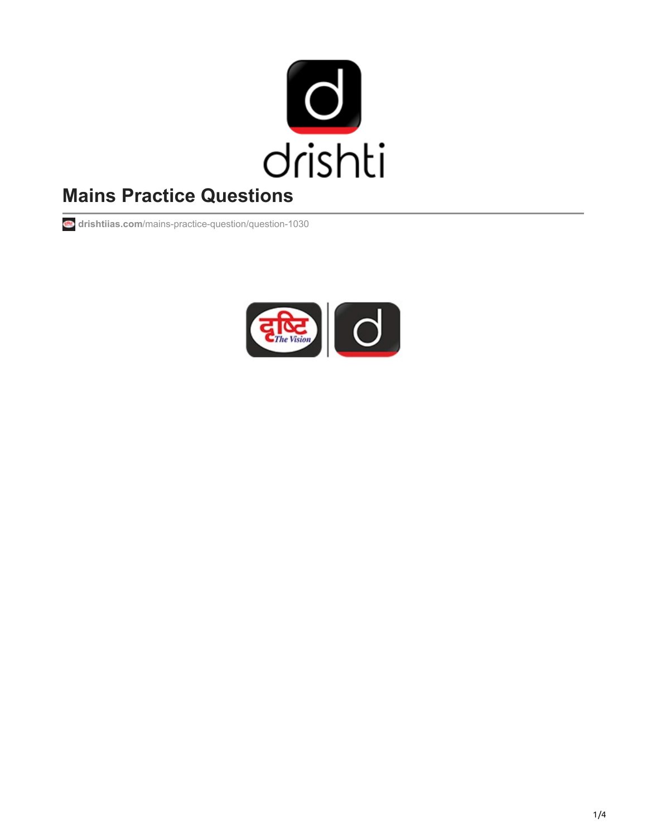

# **Mains Practice Questions**

**drishtiias.com**[/mains-practice-question/question-1030](https://www.drishtiias.com/mains-practice-question/question-1030)

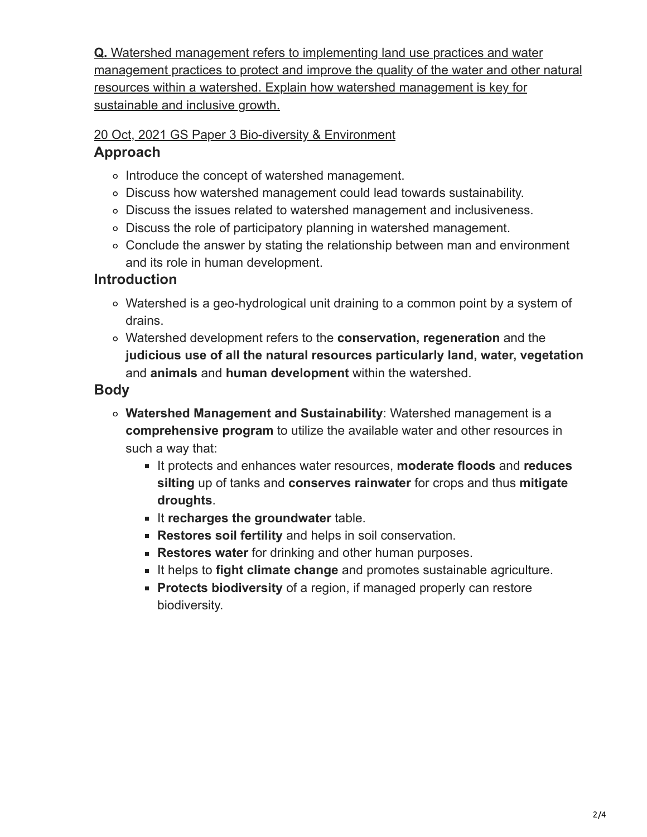**Q.** Watershed management refers to implementing land use practices and water [management practices to protect and improve the quality of the water and other natural](https://www.drishtiias.com/mains-practice-question/question-1030) resources within a watershed. Explain how watershed management is key for sustainable and inclusive growth.

[20 Oct, 2021](https://www.drishtiias.com/mains-practice-question/date-2021-10-20) [GS Paper 3](https://www.drishtiias.com/mains-practice-question/gs-paper-3) [Bio-diversity & Environment](https://www.drishtiias.com/mains-practice-question/tag-environment)

#### **Approach**

- o Introduce the concept of watershed management.
- Discuss how watershed management could lead towards sustainability.
- Discuss the issues related to watershed management and inclusiveness.
- Discuss the role of participatory planning in watershed management.
- Conclude the answer by stating the relationship between man and environment and its role in human development.

## **Introduction**

- Watershed is a geo-hydrological unit draining to a common point by a system of drains.
- Watershed development refers to the **conservation, regeneration** and the **judicious use of all the natural resources particularly land, water, vegetation** and **animals** and **human development** within the watershed.

## **Body**

- **Watershed Management and Sustainability**: Watershed management is a **comprehensive program** to utilize the available water and other resources in such a way that:
	- It protects and enhances water resources, **moderate floods** and **reduces silting** up of tanks and **conserves rainwater** for crops and thus **mitigate droughts**.
	- It **recharges the groundwater** table.
	- **Restores soil fertility** and helps in soil conservation.
	- **Restores water** for drinking and other human purposes.
	- It helps to **fight climate change** and promotes sustainable agriculture.
	- **Protects biodiversity** of a region, if managed properly can restore biodiversity.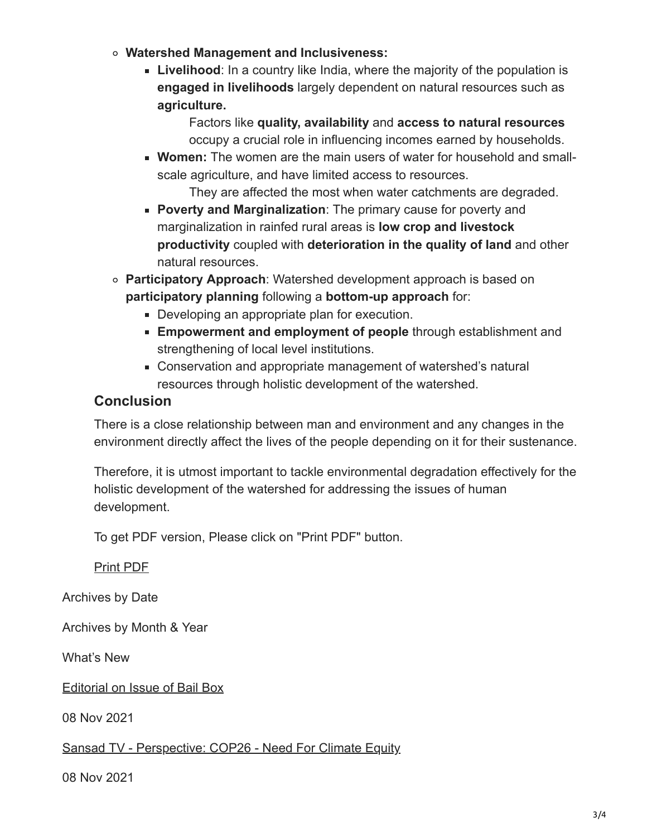- **Watershed Management and Inclusiveness:**
	- **Livelihood**: In a country like India, where the majority of the population is **engaged in livelihoods** largely dependent on natural resources such as **agriculture.**

Factors like **quality, availability** and **access to natural resources** occupy a crucial role in influencing incomes earned by households.

**Women:** The women are the main users of water for household and smallscale agriculture, and have limited access to resources.

They are affected the most when water catchments are degraded.

- **Poverty and Marginalization**: The primary cause for poverty and marginalization in rainfed rural areas is **low crop and livestock productivity** coupled with **deterioration in the quality of land** and other natural resources.
- **Participatory Approach**: Watershed development approach is based on **participatory planning** following a **bottom-up approach** for:
	- Developing an appropriate plan for execution.
	- **Empowerment and employment of people** through establishment and strengthening of local level institutions.
	- Conservation and appropriate management of watershed's natural resources through holistic development of the watershed.

#### **Conclusion**

There is a close relationship between man and environment and any changes in the environment directly affect the lives of the people depending on it for their sustenance.

Therefore, it is utmost important to tackle environmental degradation effectively for the holistic development of the watershed for addressing the issues of human development.

To get PDF version, Please click on "Print PDF" button.

[Print PDF](https://www.drishtiias.com/pdf/1636372311-https://www.drishtiias.com/mains-practice-question/question-1030.pdf)

Archives by Date

Archives by Month & Year

What's New

[Editorial on Issue of Bail Box](https://www.drishtiias.com/current-affairs-news-analysis-editorials/news-editorials/2021-11-08)

08 Nov 2021

[Sansad TV - Perspective: COP26 - Need For Climate Equity](https://www.drishtiias.com/loksabha-rajyasabha-discussions/perspective-cop26-need-for-climate-equity)

08 Nov 2021